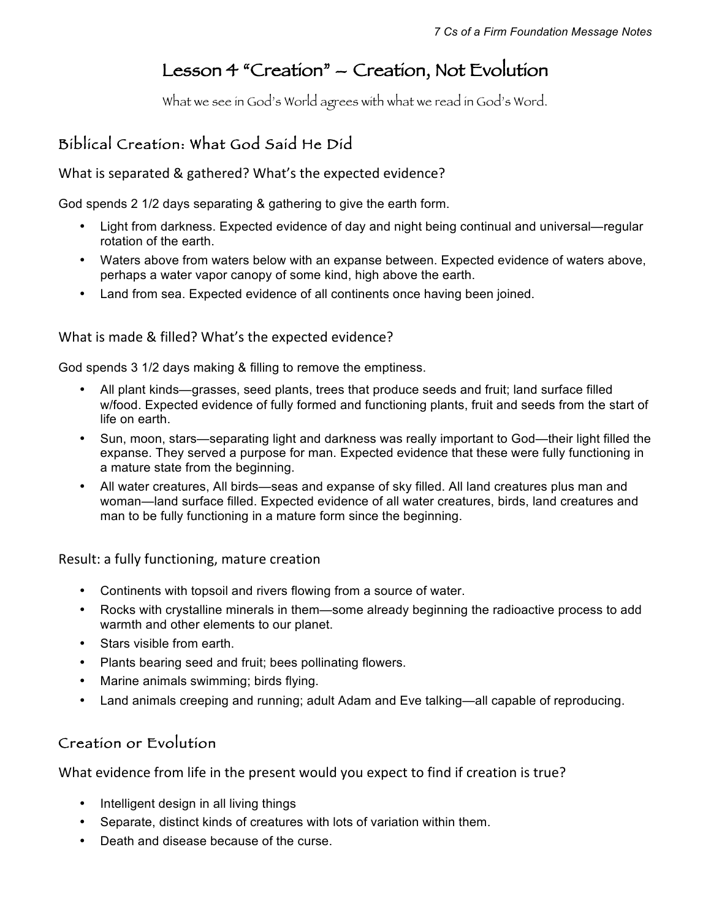# Lesson 4 "Creation" – Creation, Not Evolution

What we see in God's World agrees with what we read in God's Word.

## Biblical Creation: What God Said He Did

What is separated & gathered? What's the expected evidence?

God spends 2 1/2 days separating & gathering to give the earth form.

- Light from darkness. Expected evidence of day and night being continual and universal—regular rotation of the earth.
- Waters above from waters below with an expanse between. Expected evidence of waters above, perhaps a water vapor canopy of some kind, high above the earth.
- Land from sea. Expected evidence of all continents once having been joined.

#### What is made & filled? What's the expected evidence?

God spends 3 1/2 days making & filling to remove the emptiness.

- All plant kinds—grasses, seed plants, trees that produce seeds and fruit; land surface filled w/food. Expected evidence of fully formed and functioning plants, fruit and seeds from the start of life on earth.
- Sun, moon, stars—separating light and darkness was really important to God—their light filled the expanse. They served a purpose for man. Expected evidence that these were fully functioning in a mature state from the beginning.
- All water creatures, All birds—seas and expanse of sky filled. All land creatures plus man and woman—land surface filled. Expected evidence of all water creatures, birds, land creatures and man to be fully functioning in a mature form since the beginning.

Result: a fully functioning, mature creation

- Continents with topsoil and rivers flowing from a source of water.
- Rocks with crystalline minerals in them—some already beginning the radioactive process to add warmth and other elements to our planet.
- Stars visible from earth.
- Plants bearing seed and fruit; bees pollinating flowers.
- Marine animals swimming; birds flying.
- Land animals creeping and running; adult Adam and Eve talking—all capable of reproducing.

### Creation or Evolution

What evidence from life in the present would you expect to find if creation is true?

- Intelligent design in all living things
- Separate, distinct kinds of creatures with lots of variation within them.
- Death and disease because of the curse.